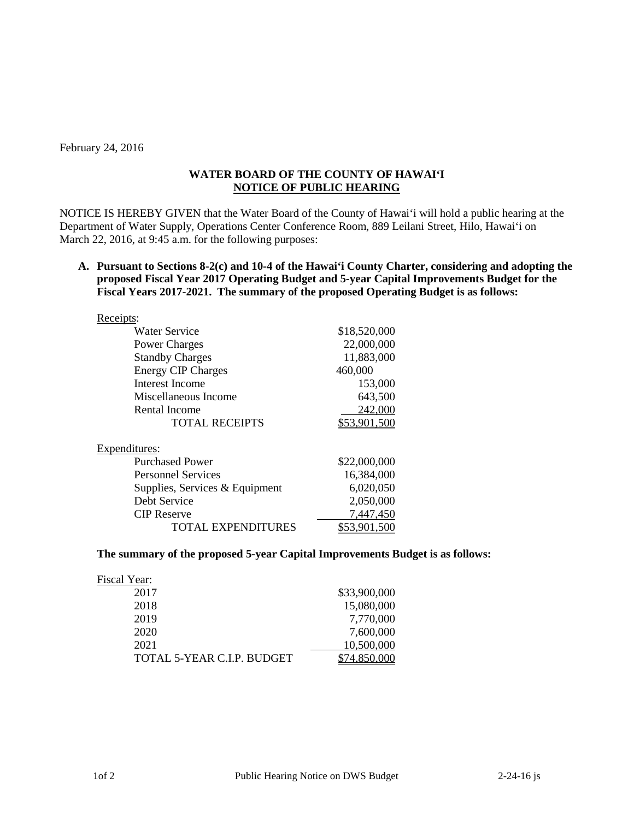February 24, 2016

# **WATER BOARD OF THE COUNTY OF HAWAI'I NOTICE OF PUBLIC HEARING**

NOTICE IS HEREBY GIVEN that the Water Board of the County of Hawai'i will hold a public hearing at the Department of Water Supply, Operations Center Conference Room, 889 Leilani Street, Hilo, Hawai'i on March 22, 2016, at 9:45 a.m. for the following purposes:

### **A. Pursuant to Sections 8-2(c) and 10-4 of the Hawai'i County Charter, considering and adopting the proposed Fiscal Year 2017 Operating Budget and 5-year Capital Improvements Budget for the Fiscal Years 2017-2021. The summary of the proposed Operating Budget is as follows:**

| Receipts:                        |              |
|----------------------------------|--------------|
| Water Service                    | \$18,520,000 |
| <b>Power Charges</b>             | 22,000,000   |
| <b>Standby Charges</b>           | 11,883,000   |
| <b>Energy CIP Charges</b>        | 460,000      |
| Interest Income                  | 153,000      |
| Miscellaneous Income             | 643,500      |
| Rental Income                    | 242,000      |
| <b>TOTAL RECEIPTS</b>            | \$53.901.500 |
| Expenditures:                    |              |
| <b>Purchased Power</b>           | \$22,000,000 |
| <b>Personnel Services</b>        | 16,384,000   |
| Supplies, Services $&$ Equipment | 6,020,050    |
| Debt Service                     | 2,050,000    |
| <b>CIP</b> Reserve               | 7,447,450    |
| <b>TOTAL EXPENDITURES</b>        | \$53.901.500 |

## **The summary of the proposed 5-year Capital Improvements Budget is as follows:**

| Fiscal Year:               |              |
|----------------------------|--------------|
| 2017                       | \$33,900,000 |
| 2018                       | 15,080,000   |
| 2019                       | 7,770,000    |
| 2020                       | 7,600,000    |
| 2021                       | 10,500,000   |
| TOTAL 5-YEAR C.I.P. BUDGET |              |